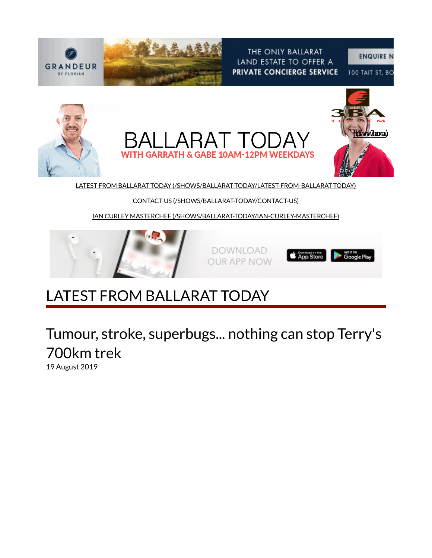

THE ONLY BALLARAT LAND ESTATE TO OFFER A PRIVATE CONCIERGE SERVICE

100 TAIT ST, BO



CONTACT US (/SHOWS/BALLARAT-TODAY/CONTACT-US)

IAN CURLEY MASTERCHEF (/SHOWS/BALLARAT-TODAY/IAN-CURLEY-MASTERCHEF)



DOWNLOAD **OUR APP NOW** 



## LATEST FROM BALLARAT TODAY

Tumour, stroke, superbugs... nothing can stop Terry's 700km trek

19 August 2019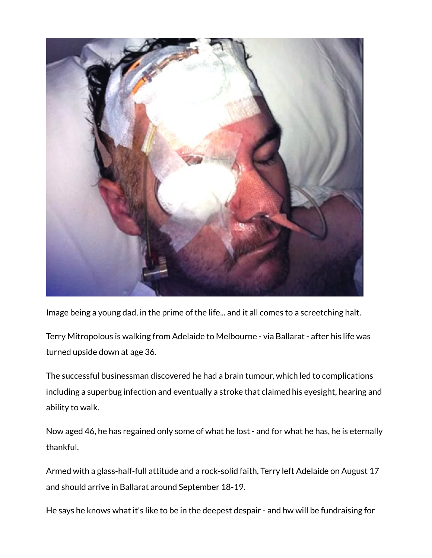

Image being a young dad, in the prime of the life... and it all comes to a screetching halt.

Terry Mitropolous is walking from Adelaide to Melbourne - via Ballarat - after his life was turned upside down at age 36.

The successful businessman discovered he had a brain tumour, which led to complications including a superbug infection and eventually a stroke that claimed his eyesight, hearing and ability to walk.

Now aged 46, he has regained only some of what he lost - and for what he has, he is eternally thankful.

Armed with a glass-half-full attitude and a rock-solid faith, Terry left Adelaide on August 17 and should arrive in Ballarat around September 18-19.

He says he knows what it's like to be in the deepest despair - and hw will be fundraising for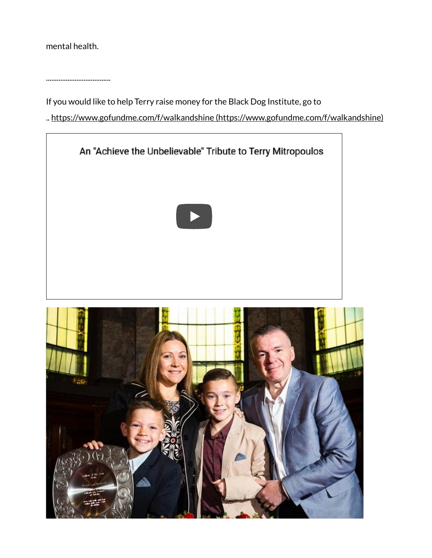mental health.

....................................

If you would like to help Terry raise money for the Black Dog Institute, go to

.. https://www.gofundme.com/f/walkandshine (https://www.gofundme.com/f/walkandshine)